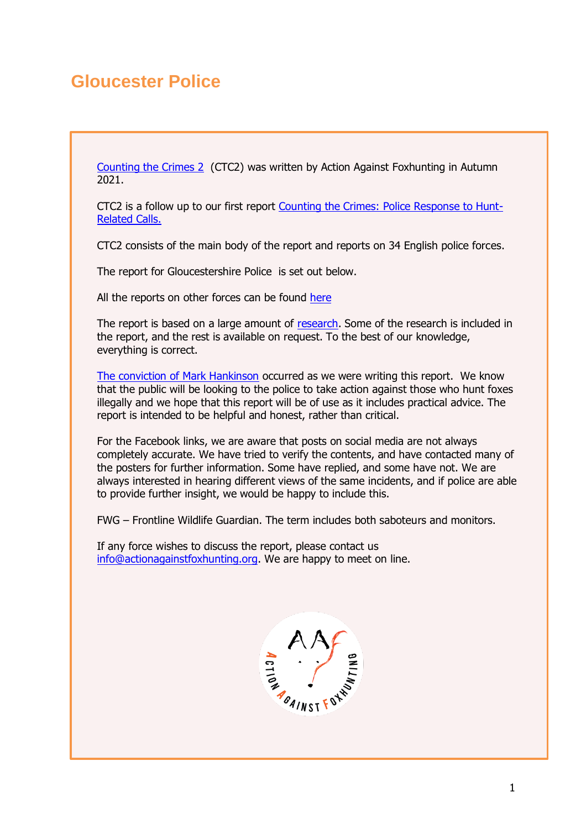# **Gloucester Police**

[Counting the Crimes 2](https://www.actionagainstfoxhunting.org/counting-the-crimes2-the-police-response/) (CTC2) was written by Action Against Foxhunting in Autumn 2021.

CTC2 is a follow up to our first report [Counting the Crimes: Police Response to Hunt-](https://www.actionagainstfoxhunting.org/counting-the-crimes/)[Related Calls.](https://www.actionagainstfoxhunting.org/counting-the-crimes/)

CTC2 consists of the main body of the report and reports on 34 English police forces.

The report for Gloucestershire Police is set out below.

All the reports on other forces can be found [here](https://www.actionagainstfoxhunting.org/counting-the-crimes2-the-police-response/)

The report is based on a large amount of [research.](https://www.actionagainstfoxhunting.org/wp-content/uploads/2021/11/A-1411-Research-for-CTC2.pdf) Some of the research is included in the report, and the rest is available on request. To the best of our knowledge, everything is correct.

[The conviction of Mark Hankinson](https://www.league.org.uk/news-and-resources/news/hunting-office-webinars-the-road-to-conviction/) occurred as we were writing this report. We know that the public will be looking to the police to take action against those who hunt foxes illegally and we hope that this report will be of use as it includes practical advice. The report is intended to be helpful and honest, rather than critical.

For the Facebook links, we are aware that posts on social media are not always completely accurate. We have tried to verify the contents, and have contacted many of the posters for further information. Some have replied, and some have not. We are always interested in hearing different views of the same incidents, and if police are able to provide further insight, we would be happy to include this.

FWG – Frontline Wildlife Guardian. The term includes both saboteurs and monitors.

If any force wishes to discuss the report, please contact us [info@actionagainstfoxhunting.org.](mailto:info@actionagainstfoxhunting.org) We are happy to meet on line.

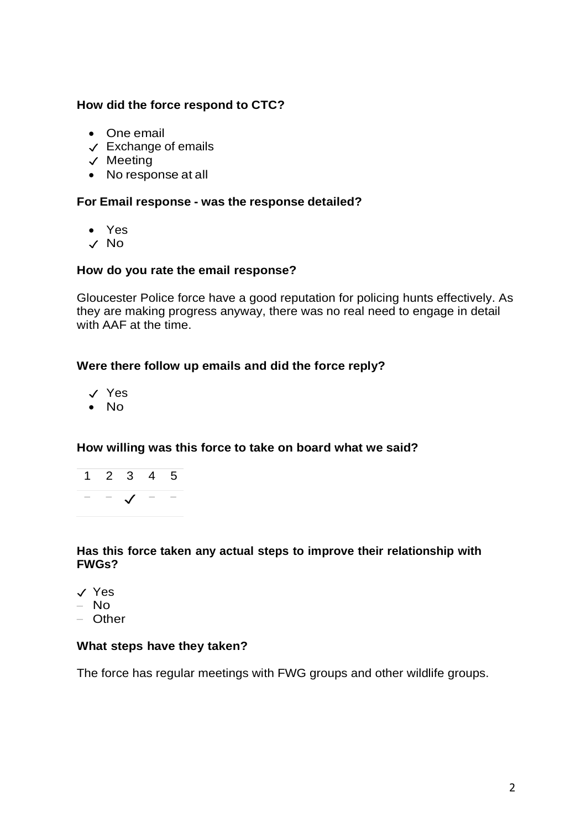# **How did the force respond to CTC?**

- One email
- ✓ Exchange of emails
- ✓ Meeting
- No response at all

# **For Email response - was the response detailed?**

- Yes
- ✓ No

#### **How do you rate the email response?**

Gloucester Police force have a good reputation for policing hunts effectively. As they are making progress anyway, there was no real need to engage in detail with AAF at the time.

# **Were there follow up emails and did the force reply?**

- ✓ Yes
- No

# **How willing was this force to take on board what we said?**



# **Has this force taken any actual steps to improve their relationship with FWGs?**

- ✓ Yes
- No
- Other

#### **What steps have they taken?**

The force has regular meetings with FWG groups and other wildlife groups.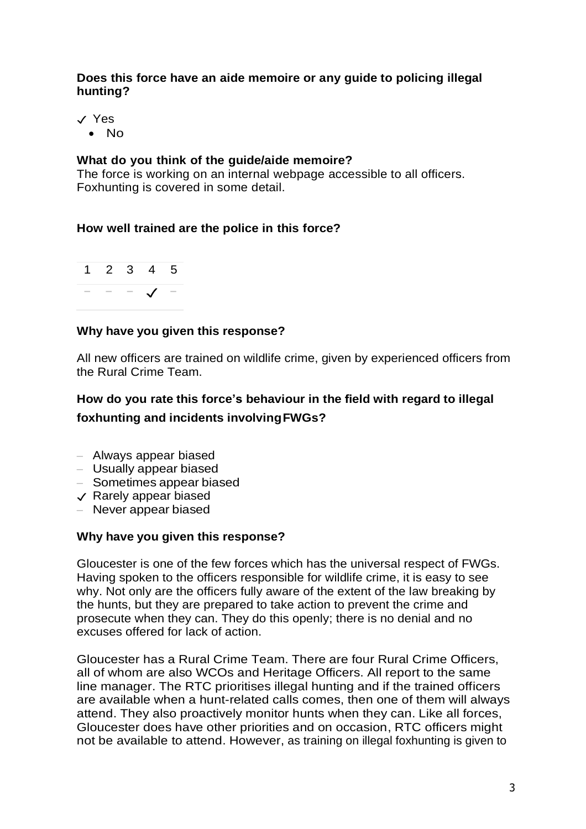#### **Does this force have an aide memoire or any guide to policing illegal hunting?**

✓ Yes

• No

# **What do you think of the guide/aide memoire?**

The force is working on an internal webpage accessible to all officers. Foxhunting is covered in some detail.

#### **How well trained are the police in this force?**



# **Why have you given this response?**

All new officers are trained on wildlife crime, given by experienced officers from the Rural Crime Team.

# **How do you rate this force's behaviour in the field with regard to illegal foxhunting and incidents involvingFWGs?**

- Always appear biased
- Usually appear biased
- Sometimes appear biased
- ✓ Rarely appear biased
- Never appear biased

#### **Why have you given this response?**

Gloucester is one of the few forces which has the universal respect of FWGs. Having spoken to the officers responsible for wildlife crime, it is easy to see why. Not only are the officers fully aware of the extent of the law breaking by the hunts, but they are prepared to take action to prevent the crime and prosecute when they can. They do this openly; there is no denial and no excuses offered for lack of action.

Gloucester has a Rural Crime Team. There are four Rural Crime Officers, all of whom are also WCOs and Heritage Officers. All report to the same line manager. The RTC prioritises illegal hunting and if the trained officers are available when a hunt-related calls comes, then one of them will always attend. They also proactively monitor hunts when they can. Like all forces, Gloucester does have other priorities and on occasion, RTC officers might not be available to attend. However, as training on illegal foxhunting is given to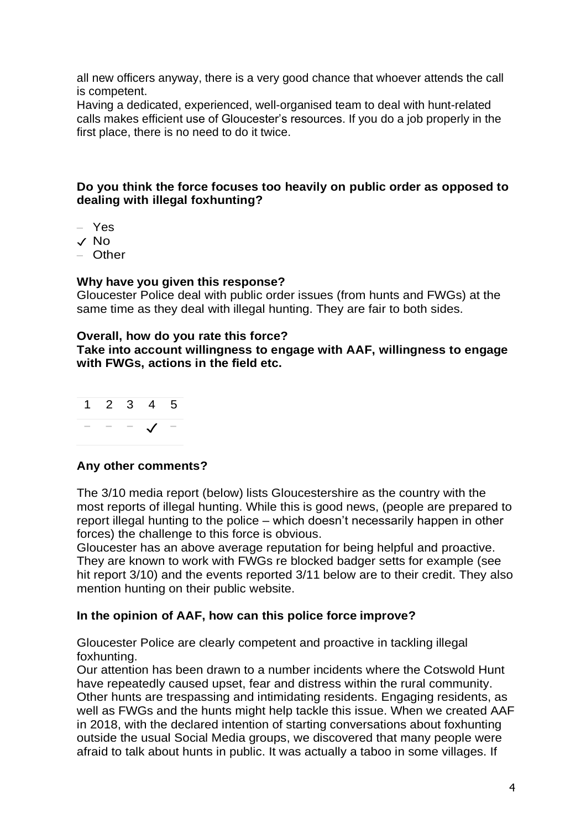all new officers anyway, there is a very good chance that whoever attends the call is competent.

Having a dedicated, experienced, well-organised team to deal with hunt-related calls makes efficient use of Gloucester's resources. If you do a job properly in the first place, there is no need to do it twice.

# **Do you think the force focuses too heavily on public order as opposed to dealing with illegal foxhunting?**

- Yes
- ✓ No
- Other

#### **Why have you given this response?**

Gloucester Police deal with public order issues (from hunts and FWGs) at the same time as they deal with illegal hunting. They are fair to both sides.

#### **Overall, how do you rate this force?**

**Take into account willingness to engage with AAF, willingness to engage with FWGs, actions in the field etc.**

|  | 1 2 3 4 5 |  |
|--|-----------|--|
|  |           |  |

#### **Any other comments?**

The 3/10 media report (below) lists Gloucestershire as the country with the most reports of illegal hunting. While this is good news, (people are prepared to report illegal hunting to the police – which doesn't necessarily happen in other forces) the challenge to this force is obvious.

Gloucester has an above average reputation for being helpful and proactive. They are known to work with FWGs re blocked badger setts for example (see hit report 3/10) and the events reported 3/11 below are to their credit. They also mention hunting on their public website.

#### **In the opinion of AAF, how can this police force improve?**

Gloucester Police are clearly competent and proactive in tackling illegal foxhunting.

Our attention has been drawn to a number incidents where the Cotswold Hunt have repeatedly caused upset, fear and distress within the rural community. Other hunts are trespassing and intimidating residents. Engaging residents, as well as FWGs and the hunts might help tackle this issue. When we created AAF in 2018, with the declared intention of starting conversations about foxhunting outside the usual Social Media groups, we discovered that many people were afraid to talk about hunts in public. It was actually a taboo in some villages. If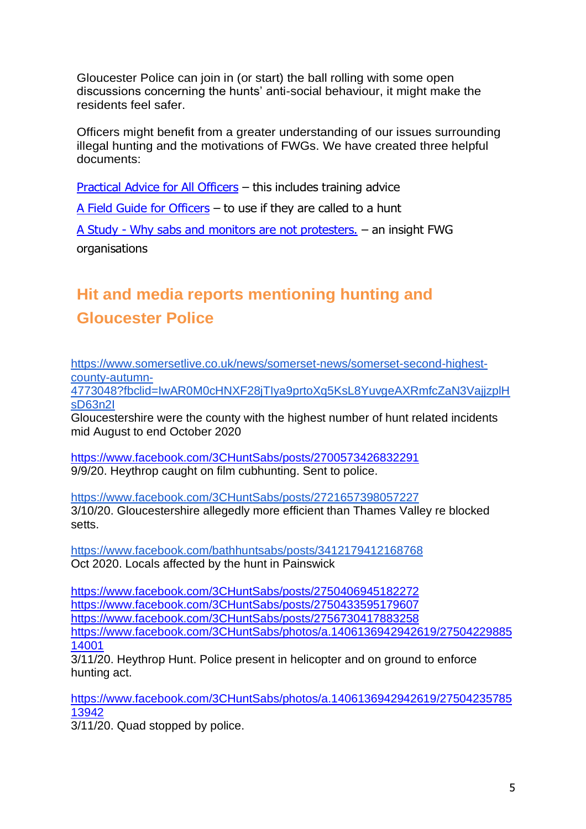Gloucester Police can join in (or start) the ball rolling with some open discussions concerning the hunts' anti-social behaviour, it might make the residents feel safer.

Officers might benefit from a greater understanding of our issues surrounding illegal hunting and the motivations of FWGs. We have created three helpful documents:

[Practical Advice for All Officers](https://www.actionagainstfoxhunting.org/wp-content/uploads/2021/11/B-1411-Practical-Advice-for-all-Police-Forces.pdf) – this includes training advice

[A Field Guide for Officers](https://www.actionagainstfoxhunting.org/wp-content/uploads/2021/11/A-1411-FIELD-GUIDE-ILLEGAL-FOXHUNTING.pdf) – to use if they are called to a hunt

A Study - [Why sabs and monitors are not protesters.](https://www.actionagainstfoxhunting.org/wp-content/uploads/2021/11/A-1411-Why-sabs-and-monitors-arent-protesters.pdf) – an insight FWG organisations

# **Hit and media reports mentioning hunting and Gloucester Police**

[https://www.somersetlive.co.uk/news/somerset-news/somerset-second-highest](https://www.somersetlive.co.uk/news/somerset-news/somerset-second-highest-county-autumn-4773048?fbclid=IwAR0M0cHNXF28jTIya9prtoXq5KsL8YuvgeAXRmfcZaN3VajjzplHsD63n2I)[county-autumn-](https://www.somersetlive.co.uk/news/somerset-news/somerset-second-highest-county-autumn-4773048?fbclid=IwAR0M0cHNXF28jTIya9prtoXq5KsL8YuvgeAXRmfcZaN3VajjzplHsD63n2I)

[4773048?fbclid=IwAR0M0cHNXF28jTIya9prtoXq5KsL8YuvgeAXRmfcZaN3VajjzplH](https://www.somersetlive.co.uk/news/somerset-news/somerset-second-highest-county-autumn-4773048?fbclid=IwAR0M0cHNXF28jTIya9prtoXq5KsL8YuvgeAXRmfcZaN3VajjzplHsD63n2I) [sD63n2I](https://www.somersetlive.co.uk/news/somerset-news/somerset-second-highest-county-autumn-4773048?fbclid=IwAR0M0cHNXF28jTIya9prtoXq5KsL8YuvgeAXRmfcZaN3VajjzplHsD63n2I)

Gloucestershire were the county with the highest number of hunt related incidents mid August to end October 2020

<https://www.facebook.com/3CHuntSabs/posts/2700573426832291> 9/9/20. Heythrop caught on film cubhunting. Sent to police.

<https://www.facebook.com/3CHuntSabs/posts/2721657398057227> 3/10/20. Gloucestershire allegedly more efficient than Thames Valley re blocked setts.

<https://www.facebook.com/bathhuntsabs/posts/3412179412168768> Oct 2020. Locals affected by the hunt in Painswick

<https://www.facebook.com/3CHuntSabs/posts/2750406945182272> <https://www.facebook.com/3CHuntSabs/posts/2750433595179607> <https://www.facebook.com/3CHuntSabs/posts/2756730417883258> [https://www.facebook.com/3CHuntSabs/photos/a.1406136942942619/27504229885](https://www.facebook.com/3CHuntSabs/photos/a.1406136942942619/2750422988514001) [14001](https://www.facebook.com/3CHuntSabs/photos/a.1406136942942619/2750422988514001)

3/11/20. Heythrop Hunt. Police present in helicopter and on ground to enforce hunting act.

[https://www.facebook.com/3CHuntSabs/photos/a.1406136942942619/27504235785](https://www.facebook.com/3CHuntSabs/photos/a.1406136942942619/2750423578513942) [13942](https://www.facebook.com/3CHuntSabs/photos/a.1406136942942619/2750423578513942)

3/11/20. Quad stopped by police.